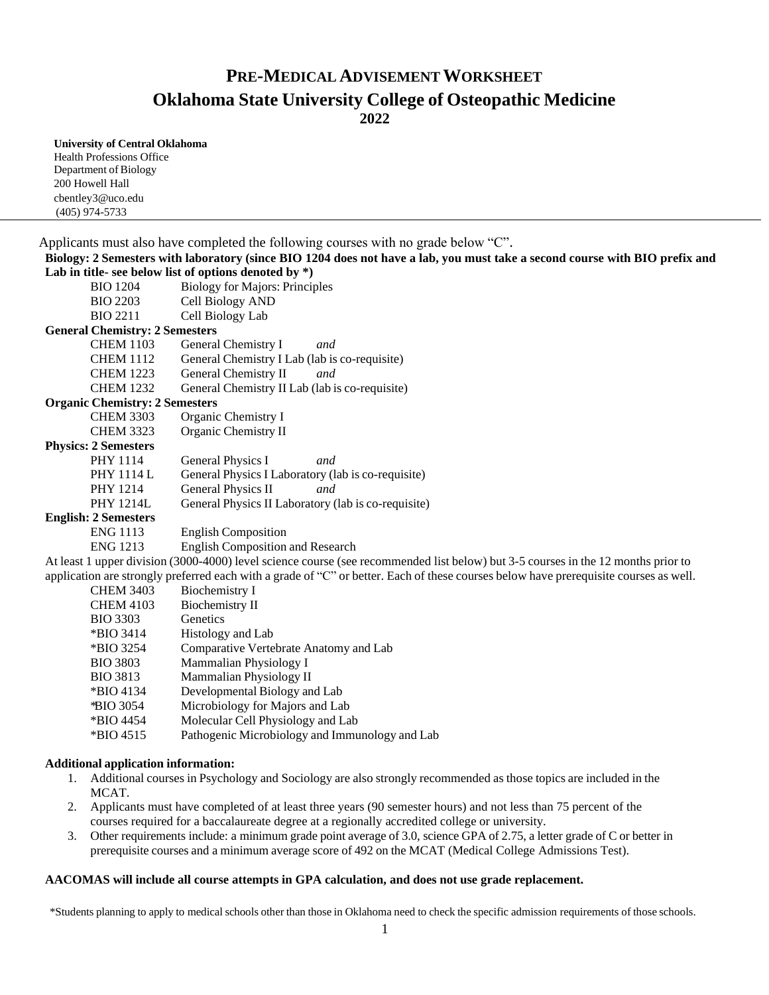# **PRE-MEDICAL ADVISEMENTWORKSHEET Oklahoma State University College of Osteopathic Medicine**

**2022**

#### **University of Central Oklahoma**

Health Professions Office Department of Biology 200 Howell Hall [cbentley3@uco.edu](mailto:cbentley3@uco.edu) (405) 974-5733

| Applicants must also have completed the following courses with no grade below "C".                                          |                                                |  |  |  |
|-----------------------------------------------------------------------------------------------------------------------------|------------------------------------------------|--|--|--|
| Biology: 2 Semesters with laboratory (since BIO 1204 does not have a lab, you must take a second course with BIO prefix and |                                                |  |  |  |
| Lab in title- see below list of options denoted by $*)$                                                                     |                                                |  |  |  |
| <b>BIO</b> 1204                                                                                                             | <b>Biology for Majors: Principles</b>          |  |  |  |
| <b>BIO 2203</b>                                                                                                             | Cell Biology AND                               |  |  |  |
| <b>BIO 2211</b>                                                                                                             | Cell Biology Lab                               |  |  |  |
| <b>General Chemistry: 2 Semesters</b>                                                                                       |                                                |  |  |  |
| <b>CHEM 1103</b>                                                                                                            | General Chemistry I<br>and                     |  |  |  |
| <b>CHEM 1112</b>                                                                                                            | General Chemistry I Lab (lab is co-requisite)  |  |  |  |
| <b>CHEM 1223</b>                                                                                                            | General Chemistry II<br>and                    |  |  |  |
| <b>CHEM 1232</b>                                                                                                            | General Chemistry II Lab (lab is co-requisite) |  |  |  |
| <b>Organic Chemistry: 2 Semesters</b>                                                                                       |                                                |  |  |  |

## CHEM 3303 Organic Chemistry I

| CHLIM JJUJ       | Organic Chemistry 1  |
|------------------|----------------------|
| <b>CHEM 3323</b> | Organic Chemistry II |

#### **Physics: 2 Semesters**

| $\blacksquare$ Demography |                                                     |
|---------------------------|-----------------------------------------------------|
| PHY 1114                  | General Physics I<br>and                            |
| PHY 1114 L                | General Physics I Laboratory (lab is co-requisite)  |
| PHY 1214                  | General Physics II<br>and                           |
| PHY 1214L                 | General Physics II Laboratory (lab is co-requisite) |
| 2 Semesters               |                                                     |

# **English: 2 Semesters**

ENG 1113 English Composition

ENG 1213 English Composition and Research

At least 1 upper division (3000-4000) level science course (see recommended list below) but 3-5 courses in the 12 months prior to application are strongly preferred each with a grade of "C" or better. Each of these courses below have prerequisite courses as well.

| <b>CHEM 3403</b> | Biochemistry I                                 |
|------------------|------------------------------------------------|
| <b>CHEM 4103</b> | Biochemistry II                                |
| <b>BIO 3303</b>  | Genetics                                       |
| *BIO 3414        | Histology and Lab                              |
| *BIO 3254        | Comparative Vertebrate Anatomy and Lab         |
| <b>BIO 3803</b>  | Mammalian Physiology I                         |
| <b>BIO 3813</b>  | Mammalian Physiology II                        |
| $*$ BIO 4134     | Developmental Biology and Lab                  |
| <b>*BIO 3054</b> | Microbiology for Majors and Lab                |
| *BIO 4454        | Molecular Cell Physiology and Lab              |
| $*$ BIO 4515     | Pathogenic Microbiology and Immunology and Lab |

#### **Additional application information:**

- 1. Additional courses in Psychology and Sociology are also strongly recommended as those topics are included in the MCAT.
- 2. Applicants must have completed of at least three years (90 semester hours) and not less than 75 percent of the courses required for a baccalaureate degree at a regionally accredited college or university.
- 3. Other requirements include: a minimum grade point average of 3.0, science GPA of 2.75, a letter grade of C or better in prerequisite courses and a minimum average score of 492 on the MCAT (Medical College Admissions Test).

## **AACOMAS will include all course attempts in GPA calculation, and does not use grade replacement.**

\*Students planning to apply to medical schools other than those in Oklahoma need to check the specific admission requirements of those schools.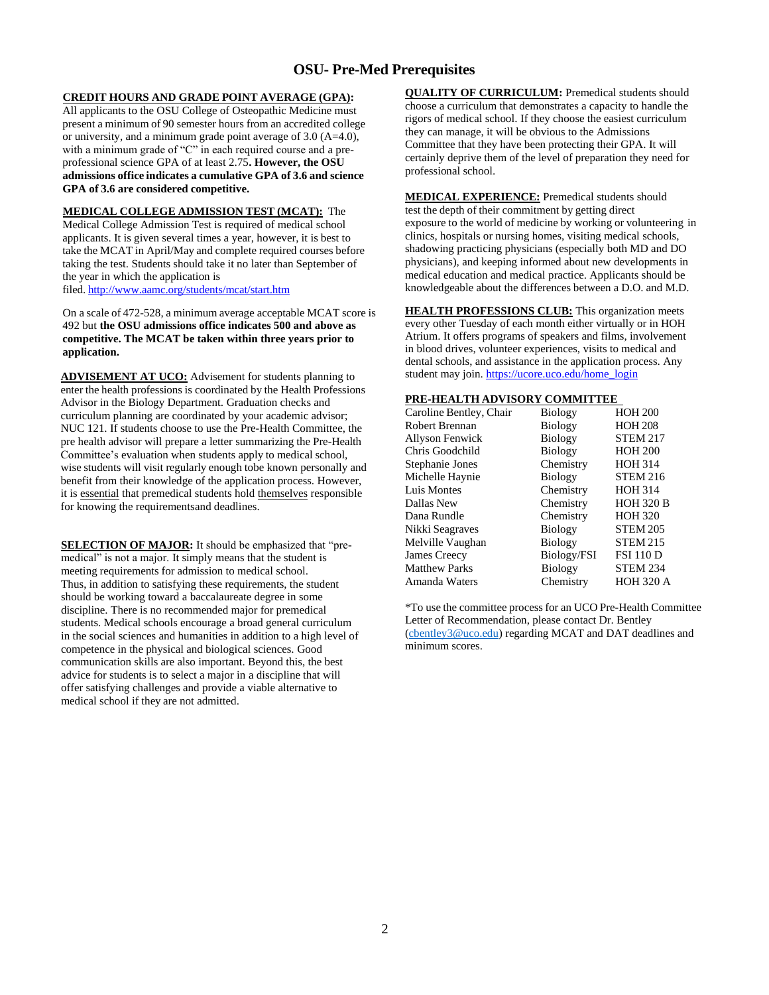# **OSU- Pre-Med Prerequisites**

### **CREDIT HOURS AND GRADE POINT AVERAGE (GPA):**

All applicants to the OSU College of Osteopathic Medicine must present a minimum of 90 semester hours from an accredited college or university, and a minimum grade point average of 3.0 (A=4.0), with a minimum grade of "C" in each required course and a preprofessional science GPA of at least 2.75**. However, the OSU admissions office indicates a cumulative GPA of 3.6 and science GPA of 3.6 are considered competitive.**

**MEDICAL COLLEGE ADMISSION TEST (MCAT):** The Medical College Admission Test is required of medical school applicants. It is given several times a year, however, it is best to take the MCAT in April/May and complete required courses before taking the test. Students should take it no later than September of the year in which the application is filed. <http://www.aamc.org/students/mcat/start.htm>

On a scale of 472-528, a minimum average acceptable MCAT score is 492 but **the OSU admissions office indicates 500 and above as competitive. The MCAT be taken within three years prior to application.**

**ADVISEMENT AT UCO:** Advisement for students planning to enter the health professions is coordinated by the Health Professions Advisor in the Biology Department. Graduation checks and curriculum planning are coordinated by your academic advisor; NUC 121. If students choose to use the Pre-Health Committee, the pre health advisor will prepare a letter summarizing the Pre-Health Committee's evaluation when students apply to medical school, wise students will visit regularly enough tobe known personally and benefit from their knowledge of the application process. However, it is essential that premedical students hold themselves responsible for knowing the requirementsand deadlines.

**SELECTION OF MAJOR:** It should be emphasized that "premedical" is not a major. It simply means that the student is meeting requirements for admission to medical school. Thus, in addition to satisfying these requirements, the student should be working toward a baccalaureate degree in some discipline. There is no recommended major for premedical students. Medical schools encourage a broad general curriculum in the social sciences and humanities in addition to a high level of competence in the physical and biological sciences. Good communication skills are also important. Beyond this, the best advice for students is to select a major in a discipline that will offer satisfying challenges and provide a viable alternative to medical school if they are not admitted.

**QUALITY OF CURRICULUM:** Premedical students should choose a curriculum that demonstrates a capacity to handle the rigors of medical school. If they choose the easiest curriculum they can manage, it will be obvious to the Admissions Committee that they have been protecting their GPA. It will certainly deprive them of the level of preparation they need for professional school.

**MEDICAL EXPERIENCE:** Premedical students should test the depth of their commitment by getting direct exposure to the world of medicine by working or volunteering in clinics, hospitals or nursing homes, visiting medical schools, shadowing practicing physicians (especially both MD and DO physicians), and keeping informed about new developments in medical education and medical practice. Applicants should be knowledgeable about the differences between a D.O. and M.D.

**HEALTH PROFESSIONS CLUB:** This organization meets every other Tuesday of each month either virtually or in HOH Atrium. It offers programs of speakers and films, involvement in blood drives, volunteer experiences, visits to medical and dental schools, and assistance in the application process. Any student may join. [https://ucore.uco.edu/home\\_login](https://ucore.uco.edu/home_login)

#### **PRE-HEALTH ADVISORY COMMITTEE**

| Caroline Bentley, Chair | <b>Biology</b> | <b>HOH 200</b>   |
|-------------------------|----------------|------------------|
| Robert Brennan          | <b>Biology</b> | <b>HOH 208</b>   |
| Allyson Fenwick         | <b>Biology</b> | <b>STEM 217</b>  |
| Chris Goodchild         | <b>Biology</b> | <b>HOH 200</b>   |
| Stephanie Jones         | Chemistry      | <b>HOH 314</b>   |
| Michelle Haynie         | <b>Biology</b> | <b>STEM 216</b>  |
| Luis Montes             | Chemistry      | <b>HOH 314</b>   |
| Dallas New              | Chemistry      | <b>HOH 320 B</b> |
| Dana Rundle             | Chemistry      | <b>HOH 320</b>   |
| Nikki Seagraves         | <b>Biology</b> | <b>STEM 205</b>  |
| Melville Vaughan        | <b>Biology</b> | <b>STEM 215</b>  |
| James Creecy            | Biology/FSI    | <b>FSI 110 D</b> |
| <b>Matthew Parks</b>    | <b>Biology</b> | <b>STEM 234</b>  |
| Amanda Waters           | Chemistry      | <b>HOH 320 A</b> |

\*To use the committee process for an UCO Pre-Health Committee Letter of Recommendation, please contact Dr. Bentley [\(cbentley3@uco.edu\)](mailto:cbentley3@uco.edu) regarding MCAT and DAT deadlines and minimum scores.